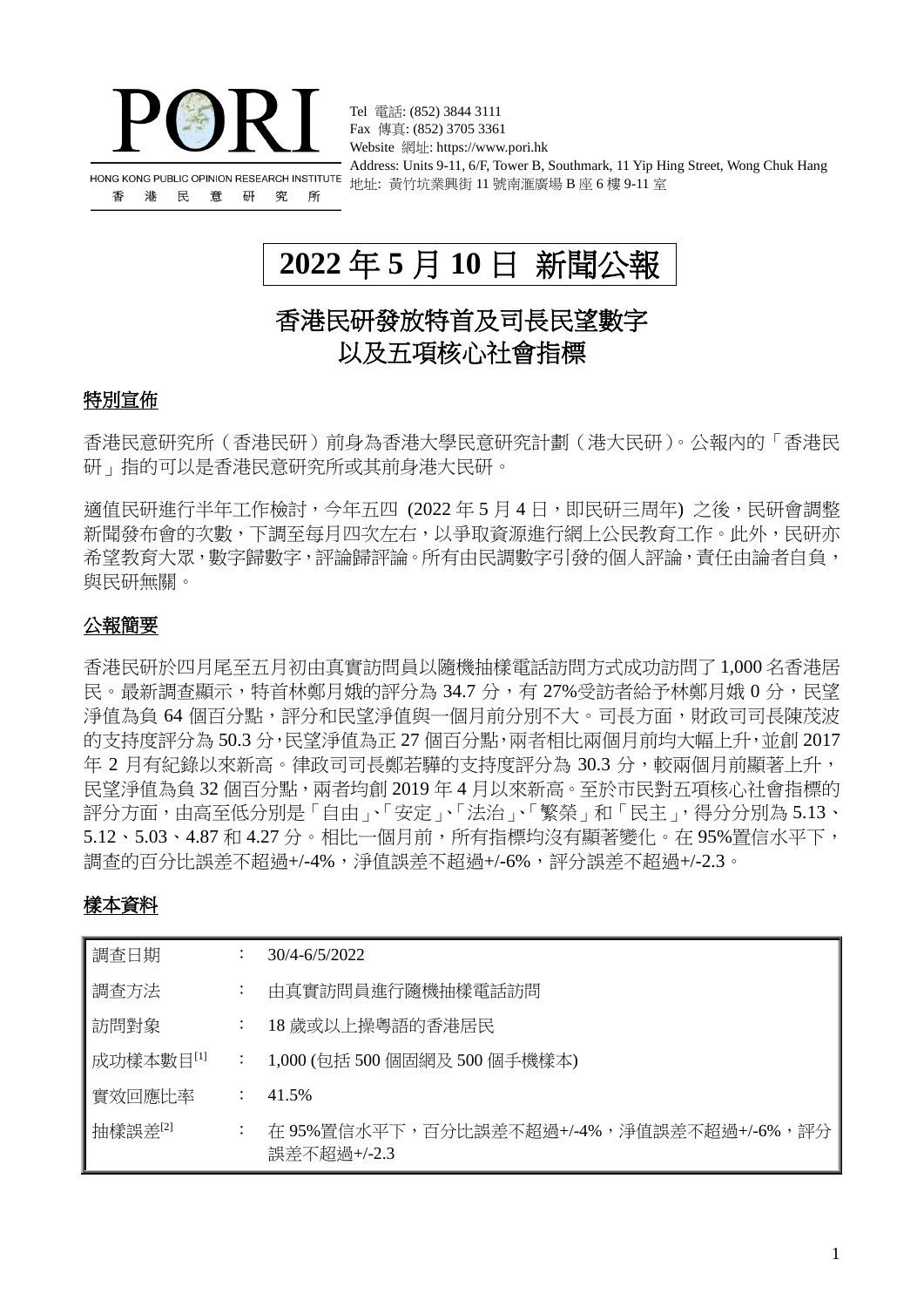

香 港 民 意 研 究 所

Tel 電話: (852) 3844 3111 Fax 傳真: (852) 3705 3361 Website 網址: https://www.pori.hk Address: Units 9-11, 6/F, Tower B, Southmark, 11 Yip Hing Street, Wong Chuk Hang 地址: 黃竹坑業興街 11 號南滙廣場 B 座 6 樓 9-11 室

# **2022** 年 **5** 月 **10** 日 新聞公報

# 香港民研發放特首及司長民望數字 以及五項核心社會指標

# 特別宣佈

香港民意研究所(香港民研)前身為香港大學民意研究計劃(港大民研)。公報內的「香港民 研」指的可以是香港民意研究所或其前身港大民研。

適值民研進行半年工作檢討,今年五四 (2022年5月4日,即民研三周年) 之後,民研會調整 新聞發布會的次數,下調至每月四次左右,以爭取資源進行網上公民教育工作。此外,民研亦 希望教育大眾, 數字歸數字, 評論歸評論。所有由民調數字引發的個人評論, 青任由論者自負, 與民研無關。

# 公報簡要

香港民研於四月尾至五月初由真實訪問員以隨機抽樣電話訪問方式成功訪問了 1,000 名香港居 民。最新調杳顯示,特首林鄭月娥的評分為 34.7 分,有 27%受訪者給予林鄭月娥 0 分,民望 淨值為負 64 個百分點,評分和民望淨值與一個月前分別不大。司長方面,財政司司長陳茂波 的支持度評分為 50.3 分,民望淨值為正 27 個百分點,兩者相比兩個月前均大幅上升,並創 2017 年 2 月有紀錄以來新高。律政司司長鄭若驊的支持度評分為 30.3 分,較兩個月前顯著上升, 民望淨值為負 32 個百分點,兩者均創 2019 年 4 月以來新高。至於市民對五項核心社會指標的 評分方面,由高至低分別是「自由」、「安定」、「法治」、「繁榮」和「民主」,得分分別為 5.13、 5.12、5.03、4.87 和 4.27 分。相比一個月前,所有指標均沒有顯著變化。在 95%置信水平下, 調查的百分比誤差不超過+/-4%,淨值誤差不超過+/-6%,評分誤差不超過+/-2.3。

# 樣本資料

| 調査日期      |                | $30/4 - 6/5/2022$                                       |
|-----------|----------------|---------------------------------------------------------|
| 調査方法      | $\ddot{\cdot}$ | 由真實訪問員進行隨機抽樣電話訪問                                        |
| 訪問對象      | $\ddot{\cdot}$ | 18 歲或以上操粵語的香港居民                                         |
| 成功樣本數目[1] |                | 1,000 (包括 500 個固網及 500 個手機樣本)                           |
| 實效回應比率    |                | 41.5%                                                   |
| 抽樣誤差[2]   | $\cdot$        | 在 95%置信水平下,百分比誤差不超過+/-4%,淨值誤差不超過+/-6%,評分<br>誤差不超過+/-2.3 |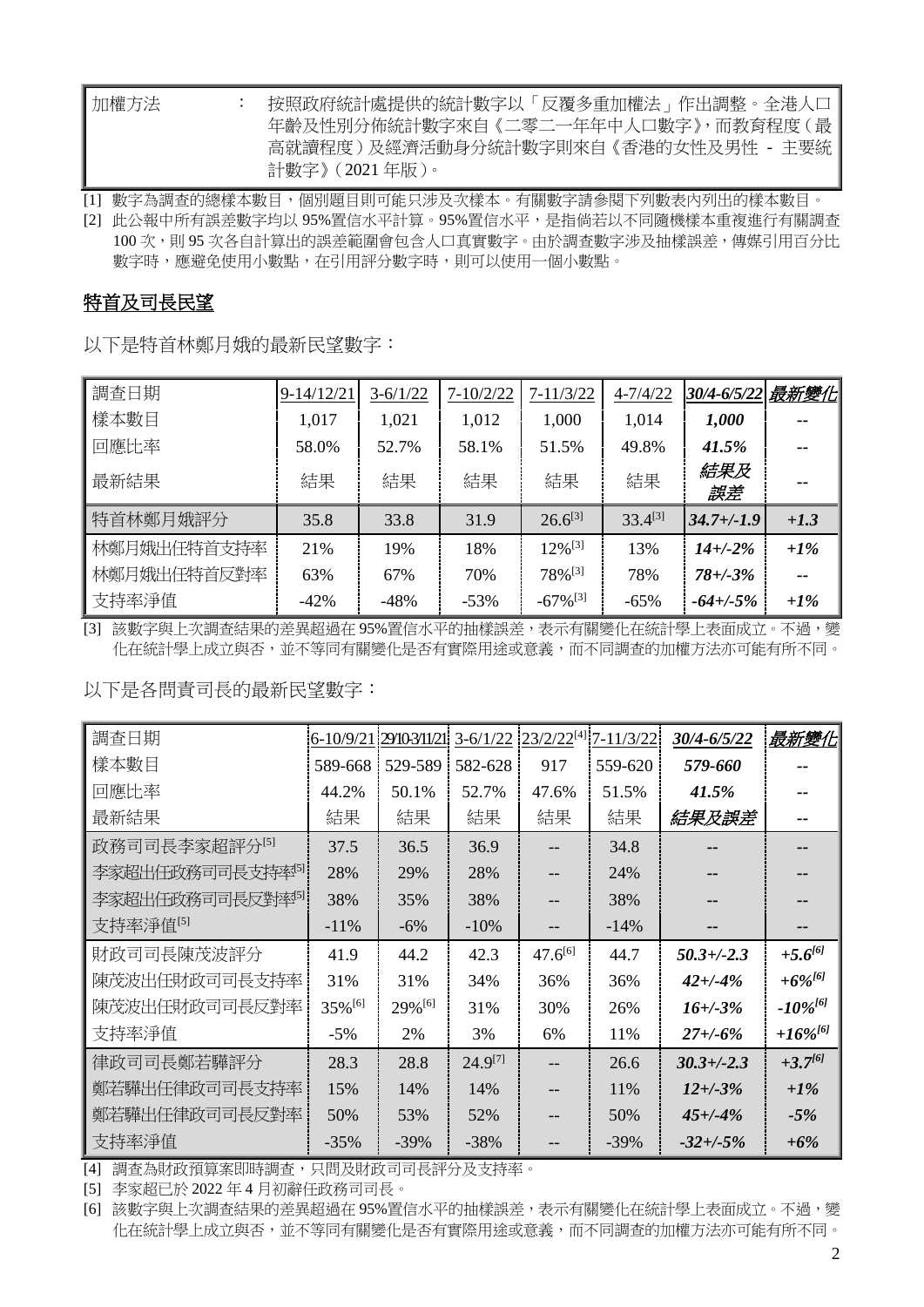| 加權方法 | 按照政府統計處提供的統計數字以「反覆多重加權法」作出調整。全港人口   |
|------|-------------------------------------|
|      | 年齡及性別分佈統計數字來自《二零二一年年中人口數字》,而教育程度(最  |
|      | 高就讀程度)及經濟活動身分統計數字則來自《香港的女性及男性 - 主要統 |
|      | 計數字》 ( 2021 年版 )。                   |

[1] 數字為調查的總樣本數目,個別題目則可能只涉及次樣本。有關數字請參閱下列數表內列出的樣本數目。

[2] 此公報中所有誤差數字均以 95%置信水平計算。95%置信水平,是指倘若以不同隨機樣本重複進行有關調查 100 次,則 95 次各自計算出的誤差範圍會包含人口真實數字。由於調查數字涉及抽樣誤差,傳媒引用百分比 數字時,應避免使用小數點,在引用評分數字時,則可以使用一個小數點。

### 特首及司長民望

以下是特首林鄭月娥的最新民望數字:

| 調査日期        | $9 - 14/12/21$ | $3 - 6/1/22$ | $7 - 10/2/22$ | $7 - 11/3/22$          | $4 - 7/4/22$ | 30/4-6/5/22 最新變化 |        |
|-------------|----------------|--------------|---------------|------------------------|--------------|------------------|--------|
| 樣本數目        | 1,017          | 1,021        | 1,012         | 1,000                  | 1,014        | 1,000            |        |
| 回應比率        | 58.0%          | 52.7%        | 58.1%         | 51.5%                  | 49.8%        | 41.5%            |        |
| 最新結果        | 結果             | 結果           | 結果            | 結果                     | 結果           | 結果及<br>誤差        |        |
| 特首林鄭月娥評分    | 35.8           | 33.8         | 31.9          | $26.6^{[3]}$           | $33.4^{[3]}$ | $34.7 + (-1.9)$  | $+1.3$ |
| 林鄭月娥出任特首支持率 | 21%            | 19%          | 18%           | $12\%$ <sup>[3]</sup>  | 13%          | $14 + (-2%)$     | $+1\%$ |
| 林鄭月娥出任特首反對率 | 63%            | 67%          | 70%           | 78% <sup>[3]</sup>     | 78%          | $78 + (-3%)$     |        |
| 支持率淨值       | $-42\%$        | $-48%$       | $-53%$        | $-67\%$ <sup>[3]</sup> | $-65%$       | $-64 + (-5%)$    | $+1\%$ |

[3] 該數字與上次調查結果的差異超過在 95%置信水平的抽樣誤差,表示有關變化在統計學上表面成立。不過,變 化在統計學上成立與否,並不等同有關變化是否有實際用途或意義,而不同調查的加權方法亦可能有所不同。

以下是各問責司長的最新民望數字:

| 調查日期                 | $6 - 10/9/21$ | 29/10-3/11/21 | $3 - 6/1/22$ |              | 23/2/22[4] 7-11/3/22 | 30/4-6/5/22     | <u>最新變化</u>   |
|----------------------|---------------|---------------|--------------|--------------|----------------------|-----------------|---------------|
| 樣本數目                 | 589-668       | 529-589       | 582-628      | 917          | 559-620              | 579-660         |               |
| 回應比率                 | 44.2%         | 50.1%         | 52.7%        | 47.6%        | 51.5%                | 41.5%           |               |
| 最新結果                 | 結果            | 結果            | 結果           | 結果           | 結果                   | 結果及誤差           |               |
| 政務司司長李家超評分[5]        | 37.5          | 36.5          | 36.9         |              | 34.8                 |                 |               |
| 李家超出任政務司司長支持率『       | 28%           | 29%           | 28%          | --           | 24%                  |                 |               |
| 李家超出任政務司司長反對率『       | 38%           | 35%           | 38%          |              | 38%                  |                 |               |
| 支持率淨值 <sup>[5]</sup> | $-11%$        | $-6%$         | $-10\%$      | --           | $-14%$               |                 |               |
| 財政司司長陳茂波評分           | 41.9          | 44.2          | 42.3         | $47.6^{[6]}$ | 44.7                 | $50.3 + (-2.3)$ | $+5.6^{[6]}$  |
| 陳茂波出任財政司司長支持率        | 31%           | 31%           | 34%          | 36%          | 36%                  | $42 + (-4%)$    | $+6\%^{[6]}$  |
| 陳茂波出任財政司司長反對率        | 35%[6]        | 29%[6]        | 31%          | 30%          | 26%                  | $16 + (-3)$ %   | $-10\%^{[6]}$ |
| 支持率淨值                | $-5%$         | 2%            | 3%           | 6%           | 11%                  | $27 + (-6%)$    | $+16\%^{[6]}$ |
| 律政司司長鄭若驊評分           | 28.3          | 28.8          | $24.9^{[7]}$ | $-$          | 26.6                 | $30.3 + (-2.3)$ | $+3.7^{[6]}$  |
| 鄭若驊出任律政司司長支持率        | 15%           | 14%           | 14%          | --           | 11%                  | $12 + (-3%)$    | $+1\%$        |
| 鄭若驊出任律政司司長反對率        | 50%           | 53%           | 52%          |              | 50%                  | $45 + (-4%)$    | $-5%$         |
| 支持率淨值                | $-35%$        | $-39%$        | $-38%$       |              | $-39%$               | $-32 + (-5%)$   | $+6%$         |

[4] 調查為財政預算案即時調查,只問及財政司司長評分及支持率。

[5] 李家超已於 2022 年 4 月初辭任政務司司長。

[6] 該數字與上次調查結果的差異超過在 95%置信水平的抽樣誤差,表示有關變化在統計學上表面成立。不過,變 化在統計學上成立與否,並不等同有關變化是否有實際用途或意義,而不同調查的加權方法亦可能有所不同。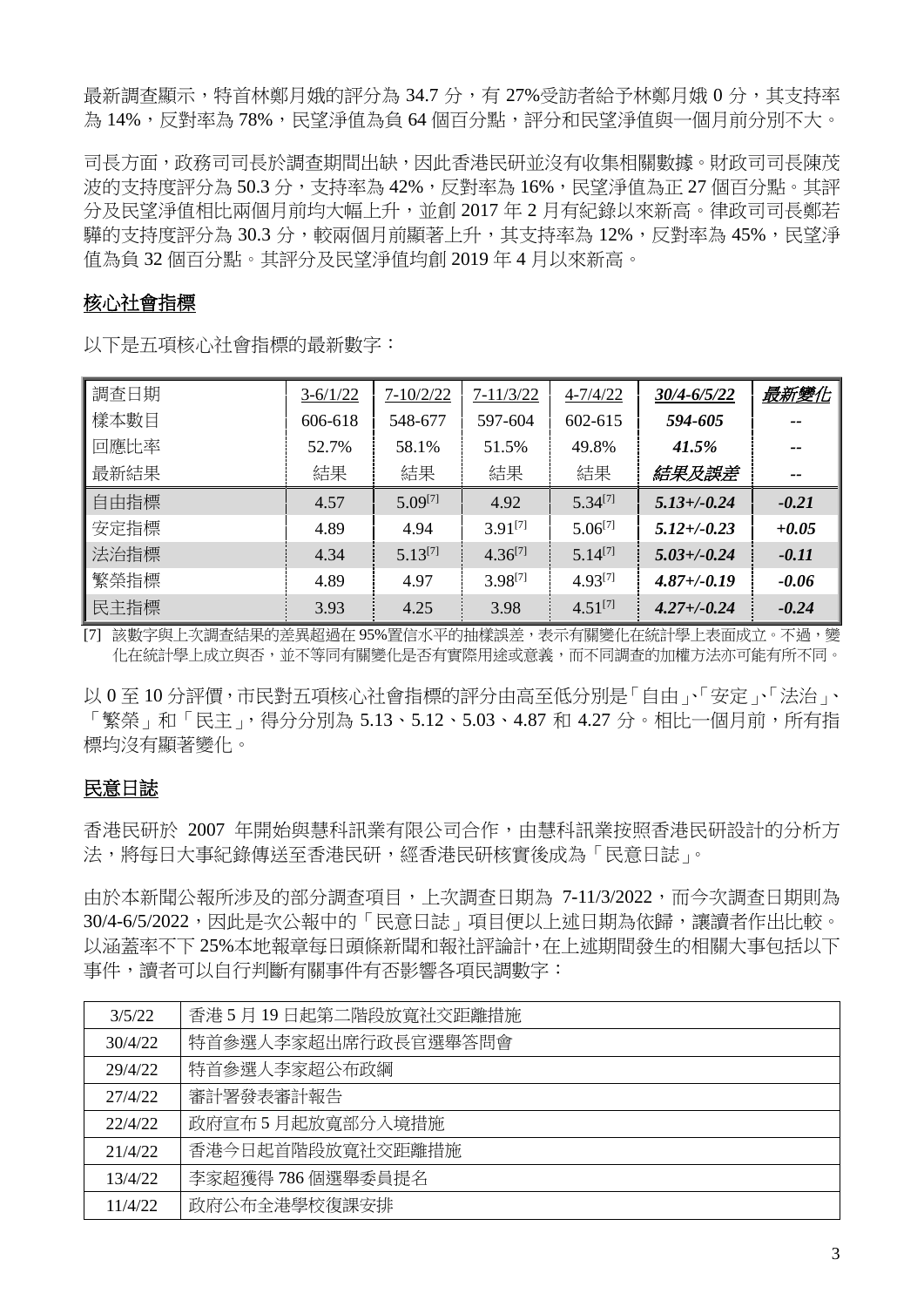最新調杳顯示,特首林鄭月娥的評分為 34.7 分,有 27%受訪者給予林鄭月娥 0 分,其支持率 為 14%,反對率為 78%,民望淨值為負 64 個百分點,評分和民望淨值與一個月前分別不大。

司長方面,政務司司長於調査期間出缺,因此香港民研並沒有收集相關數據。財政司司長陳茂 波的支持度評分為 50.3 分,支持率為 42%,反對率為 16%,民望淨值為正 27 個百分點。其評 分及民望淨值相比兩個月前均大幅上升,並創 2017 年 2 月有紀錄以來新高。律政司司長鄭若 驊的支持度評分為 30.3 分,較兩個月前顯著上升,其支持率為 12%,反對率為 45%,民望淨 值為負 32 個百分點。其評分及民望淨值均創 2019 年 4 月以來新高。

# 核心社會指標

以下是五項核心社會指標的最新數字:

| 調查日期 | $3-6/1/22$ | $7 - 10/2/22$ | $7 - 11/3/22$ | $4 - 7/4/22$ | 30/4-6/5/22      | 最新變化    |
|------|------------|---------------|---------------|--------------|------------------|---------|
| 樣本數目 | 606-618    | 548-677       | 597-604       | 602-615      | 594-605          |         |
| 回應比率 | 52.7%      | 58.1%         | 51.5%         | 49.8%        | 41.5%            | --      |
| 最新結果 | 結果         | 結果            | 結果            | 結果           | 結果及誤差            | $- -$   |
| 自由指標 | 4.57       | $5.09^{[7]}$  | 4.92          | $5.34^{[7]}$ | $5.13 + (-0.24)$ | $-0.21$ |
| 安定指標 | 4.89       | 4.94          | $3.91^{[7]}$  | $5.06^{[7]}$ | $5.12 + (-0.23)$ | $+0.05$ |
| 法治指標 | 4.34       | $5.13^{[7]}$  | $4.36^{[7]}$  | $5.14^{[7]}$ | $5.03 + (-0.24)$ | $-0.11$ |
| 繁榮指標 | 4.89       | 4.97          | 3.98[7]       | $4.93^{[7]}$ | $4.87 + (-0.19)$ | $-0.06$ |
| 民主指標 | 3.93       | 4.25          | 3.98          | $4.51^{[7]}$ | $4.27 + (-0.24)$ | $-0.24$ |

[7] 該數字與上次調查結果的差異超過在 95%置信水平的抽樣誤差,表示有關變化在統計學上表面成立。不過,變 化在統計學上成立與否,並不等同有關變化是否有實際用途或意義,而不同調查的加權方法亦可能有所不同。

以 0 至 10 分評價,市民對五項核心社會指標的評分由高至低分別是「自由」、「安定」、「法治」、 「繁榮」和「民主」,得分分別為 5.13、5.12、5.03、4.87 和 4.27 分。相比一個月前,所有指 標均沒有顯著變化。

## 民意日誌

香港民研於 2007 年開始與慧科訊業有限公司合作,由慧科訊業按照香港民研設計的分析方 法,將每日大事紀錄傳送至香港民研,經香港民研核實後成為「民意日誌」。

由於本新聞公報所涉及的部分調查項目,上次調查日期為 7-11/3/2022,而今次調查日期則為 30/4-6/5/2022,因此是次公報中的「民意日誌」項目便以上述日期為依歸,讓讀者作出比較。 以涵蓋率不下 25%本地報章每日頭條新聞和報社評論計,在上述期間發生的相關大事包括以下 事件,讀者可以自行判斷有關事件有否影響各項民調數字:

| 3/5/22  | 香港5月19日起第二階段放寬社交距離措施 |
|---------|----------------------|
| 30/4/22 | 特首參選人李家超出席行政長官選舉答問會  |
| 29/4/22 | 特首參選人李家超公布政綱         |
| 27/4/22 | 審計署發表審計報告            |
| 22/4/22 | 政府宣布5月起放寬部分入境措施      |
| 21/4/22 | 香港今日起首階段放寬社交距離措施     |
| 13/4/22 | 李家超獲得 786個選舉委員提名     |
| 11/4/22 | 政府公布全港學校復課安排         |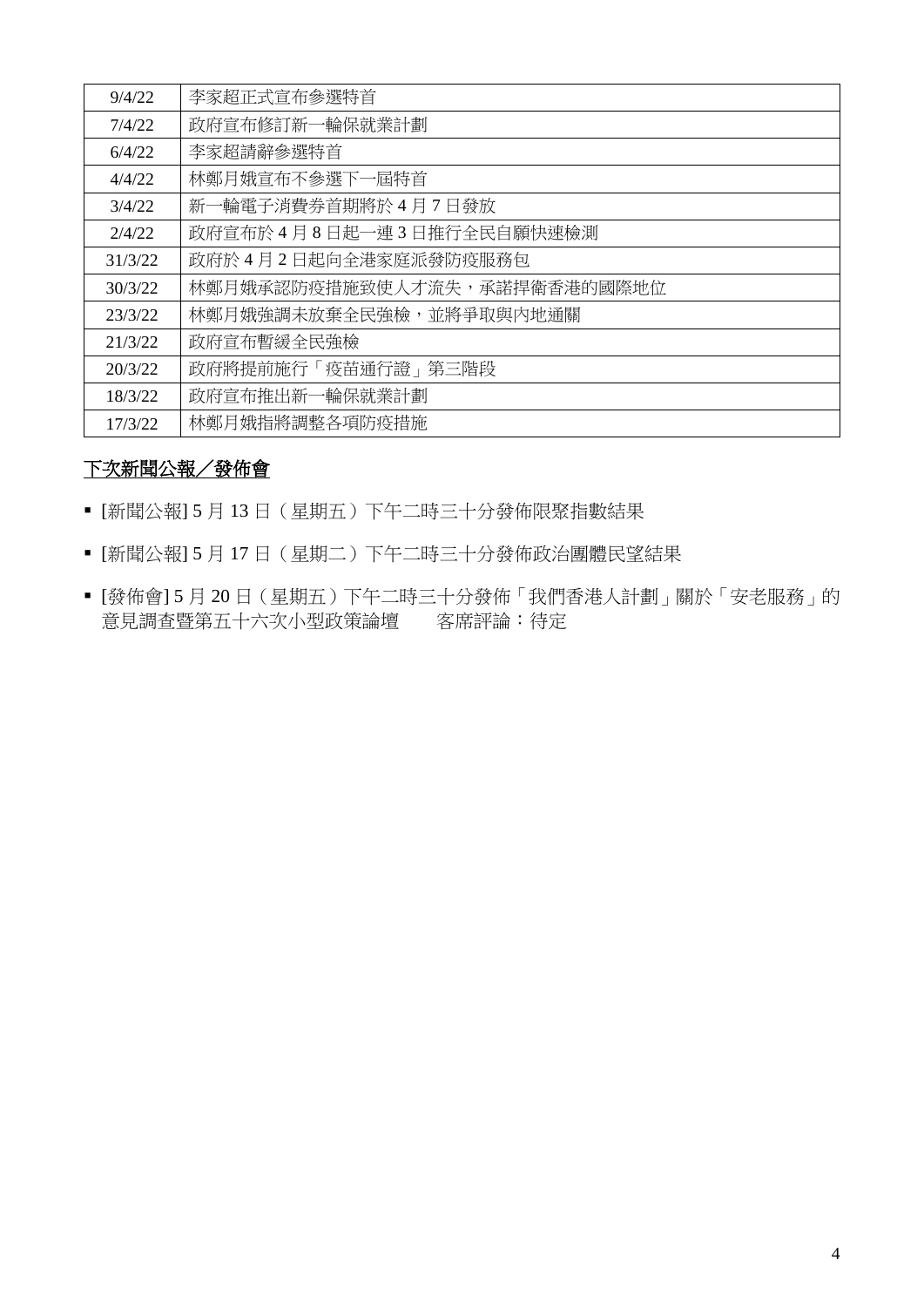| 9/4/22  | 李家超正式宣布参選特首                  |
|---------|------------------------------|
| 7/4/22  | 政府宣布修訂新一輪保就業計劃               |
| 6/4/22  | 李家超請辭參選特首                    |
| 4/4/22  | 林鄭月娥宣布不參選下一屆特首               |
| 3/4/22  | 新一輪電子消費券首期將於4月7日發放           |
| 2/4/22  | 政府宣布於4月8日起一連3日推行全民自願快速檢測     |
| 31/3/22 | 政府於4月2日起向全港家庭派發防疫服務包         |
| 30/3/22 | 林鄭月娥承認防疫措施致使人才流失,承諾捍衛香港的國際地位 |
| 23/3/22 | 林鄭月娥強調未放棄全民強檢,並將爭取與內地通關      |
| 21/3/22 | 政府宣布暫緩全民強檢                   |
| 20/3/22 | 政府將提前施行「疫苗通行證」第三階段           |
| 18/3/22 | 政府宣布推出新一輪保就業計劃               |
| 17/3/22 | 林鄭月娥指將調整各項防疫措施               |

### 下次新聞公報/發佈會

- [新聞公報] 5 月 13 日(星期五)下午二時三十分發佈限聚指數結果
- [新聞公報] 5 月 17 日(星期二)下午二時三十分發佈政治團體民望結果
- [發佈會] 5 月 20 日(星期五)下午二時三十分發佈「我們香港人計劃」關於「安老服務」的 意見調查暨第五十六次小型政策論壇 客席評論:待定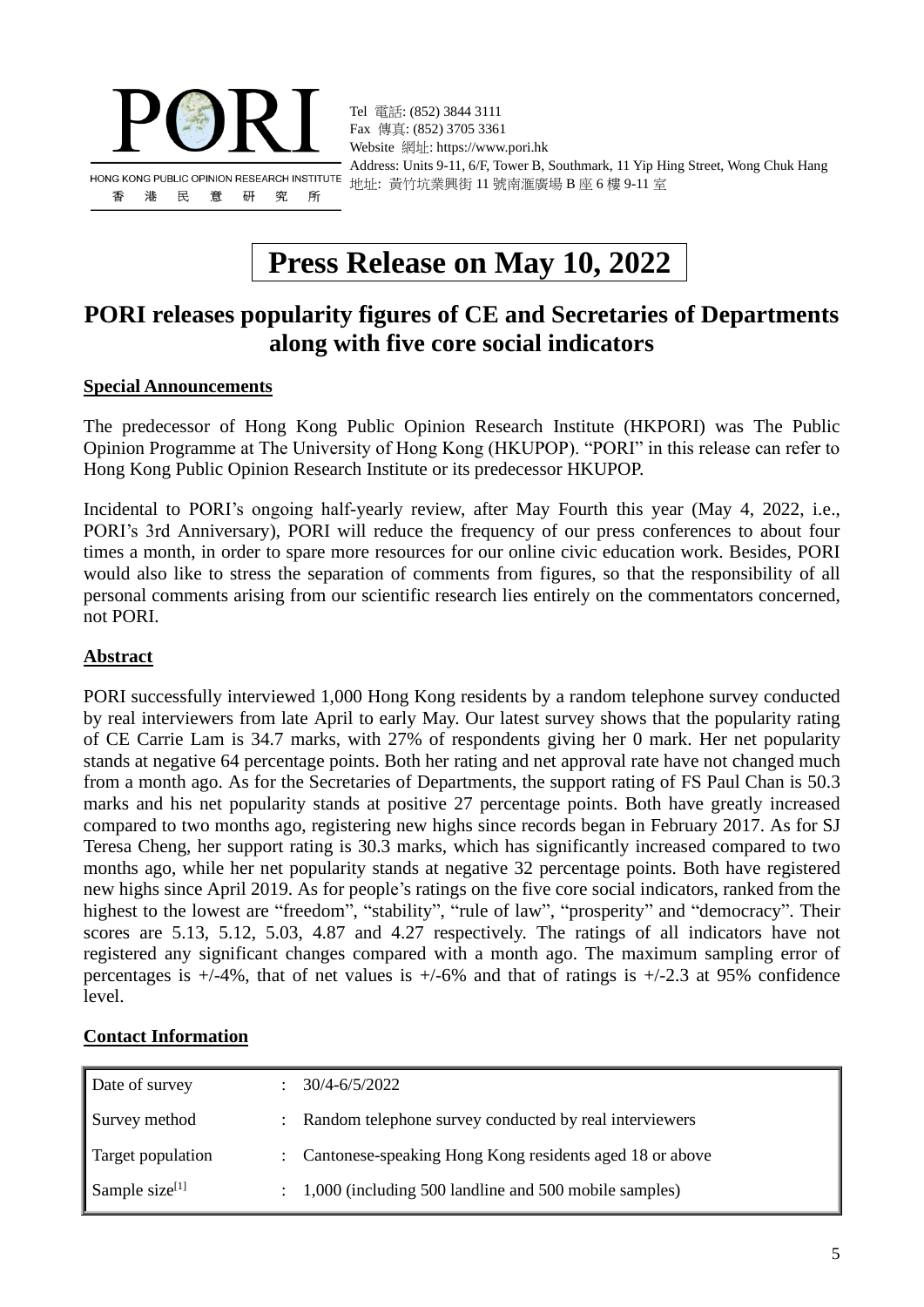

Tel 電話: (852) 3844 3111 Fax 傳真: (852) 3705 3361 Website 網址: https://www.pori.hk Address: Units 9-11, 6/F, Tower B, Southmark, 11 Yip Hing Street, Wong Chuk Hang 地址: 黃竹坑業興街 11 號南滙廣場 B 座 6 樓 9-11 室

# **Press Release on May 10, 2022**

# **PORI releases popularity figures of CE and Secretaries of Departments along with five core social indicators**

### **Special Announcements**

The predecessor of Hong Kong Public Opinion Research Institute (HKPORI) was The Public Opinion Programme at The University of Hong Kong (HKUPOP). "PORI" in this release can refer to Hong Kong Public Opinion Research Institute or its predecessor HKUPOP.

Incidental to PORI's ongoing half-yearly review, after May Fourth this year (May 4, 2022, i.e., PORI's 3rd Anniversary), PORI will reduce the frequency of our press conferences to about four times a month, in order to spare more resources for our online civic education work. Besides, PORI would also like to stress the separation of comments from figures, so that the responsibility of all personal comments arising from our scientific research lies entirely on the commentators concerned, not PORI.

#### **Abstract**

PORI successfully interviewed 1,000 Hong Kong residents by a random telephone survey conducted by real interviewers from late April to early May. Our latest survey shows that the popularity rating of CE Carrie Lam is 34.7 marks, with 27% of respondents giving her 0 mark. Her net popularity stands at negative 64 percentage points. Both her rating and net approval rate have not changed much from a month ago. As for the Secretaries of Departments, the support rating of FS Paul Chan is 50.3 marks and his net popularity stands at positive 27 percentage points. Both have greatly increased compared to two months ago, registering new highs since records began in February 2017. As for SJ Teresa Cheng, her support rating is 30.3 marks, which has significantly increased compared to two months ago, while her net popularity stands at negative 32 percentage points. Both have registered new highs since April 2019. As for people's ratings on the five core social indicators, ranked from the highest to the lowest are "freedom", "stability", "rule of law", "prosperity" and "democracy". Their scores are 5.13, 5.12, 5.03, 4.87 and 4.27 respectively. The ratings of all indicators have not registered any significant changes compared with a month ago. The maximum sampling error of percentages is  $+/-4\%$ , that of net values is  $+/-6\%$  and that of ratings is  $+/-2.3$  at 95% confidence level.

### **Contact Information**

| Date of survey    | 30/4-6/5/2022                                             |
|-------------------|-----------------------------------------------------------|
| Survey method     | : Random telephone survey conducted by real interviewers  |
| Target population | : Cantonese-speaking Hong Kong residents aged 18 or above |
| Sample size $[1]$ | 1,000 (including 500 landline and 500 mobile samples)     |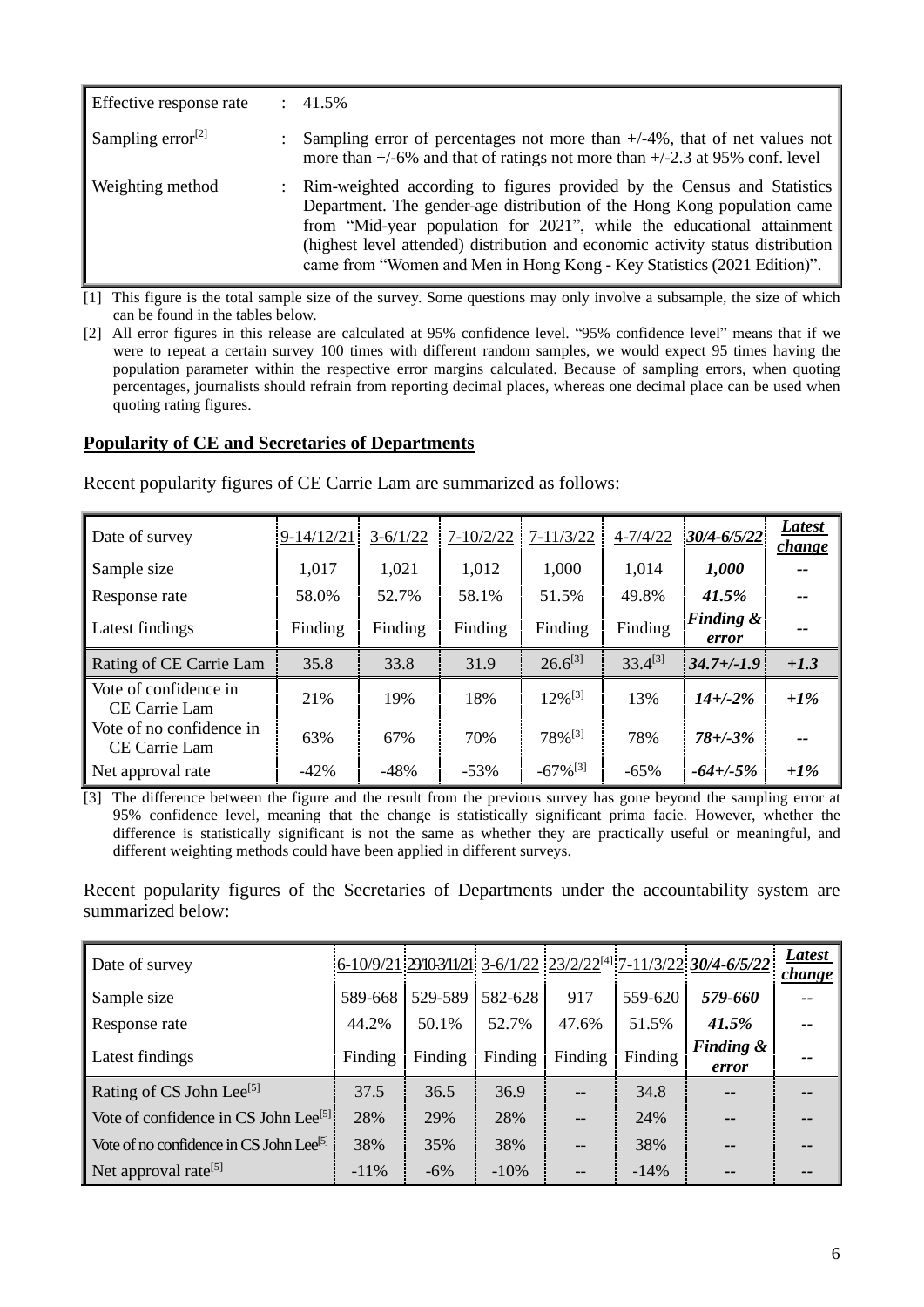| Effective response rate       | $\therefore$ 41.5%                                                                                                                                                                                                                                                                                                                                                                           |
|-------------------------------|----------------------------------------------------------------------------------------------------------------------------------------------------------------------------------------------------------------------------------------------------------------------------------------------------------------------------------------------------------------------------------------------|
| Sampling error <sup>[2]</sup> | Sampling error of percentages not more than $+/-4\%$ , that of net values not<br>more than $+/-6\%$ and that of ratings not more than $+/-2.3$ at 95% conf. level                                                                                                                                                                                                                            |
| Weighting method              | : Rim-weighted according to figures provided by the Census and Statistics<br>Department. The gender-age distribution of the Hong Kong population came<br>from "Mid-year population for 2021", while the educational attainment<br>(highest level attended) distribution and economic activity status distribution<br>came from "Women and Men in Hong Kong - Key Statistics (2021 Edition)". |

[1] This figure is the total sample size of the survey. Some questions may only involve a subsample, the size of which can be found in the tables below.

[2] All error figures in this release are calculated at 95% confidence level. "95% confidence level" means that if we were to repeat a certain survey 100 times with different random samples, we would expect 95 times having the population parameter within the respective error margins calculated. Because of sampling errors, when quoting percentages, journalists should refrain from reporting decimal places, whereas one decimal place can be used when quoting rating figures.

### **Popularity of CE and Secretaries of Departments**

| Date of survey                            | $9-14/12/21$ | $3-6/1/22$ | $7 - 10/2/22$ | $7 - 11/3/22$          | $4 - 7/4/22$ | 30/4-6/5/22                   | Latest<br><i>change</i> |
|-------------------------------------------|--------------|------------|---------------|------------------------|--------------|-------------------------------|-------------------------|
| Sample size                               | 1,017        | 1,021      | 1,012         | 1,000                  | 1,014        | 1,000                         |                         |
| Response rate                             | 58.0%        | 52.7%      | 58.1%         | 51.5%                  | 49.8%        | 41.5%                         |                         |
| Latest findings                           | Finding      | Finding    | Finding       | Finding                | Finding      | <b>Finding &amp;</b><br>error |                         |
| Rating of CE Carrie Lam                   | 35.8         | 33.8       | 31.9          | $26.6^{[3]}$           | $33.4^{[3]}$ | $34.7 + (-1.9)$               | $+1.3$                  |
| Vote of confidence in<br>CE Carrie Lam    | 21%          | 19%        | 18%           | $12\%$ <sup>[3]</sup>  | 13%          | $14 + (-2%)$                  | $+1\%$                  |
| Vote of no confidence in<br>CE Carrie Lam | 63%          | 67%        | 70%           | 78%[3]                 | 78%          | $78 + (-3%)$                  |                         |
| Net approval rate                         | $-42%$       | $-48%$     | $-53%$        | $-67\%$ <sup>[3]</sup> | $-65%$       | $-64 + (-5\%$                 | $+1\%$                  |

Recent popularity figures of CE Carrie Lam are summarized as follows:

[3] The difference between the figure and the result from the previous survey has gone beyond the sampling error at 95% confidence level, meaning that the change is statistically significant prima facie. However, whether the difference is statistically significant is not the same as whether they are practically useful or meaningful, and different weighting methods could have been applied in different surveys.

Recent popularity figures of the Secretaries of Departments under the accountability system are summarized below:

| Date of survey                                      |         |         |         |         |         | $\frac{1}{16-10/9/21}$ 29/10-3/11/21 3-6/1/22 23/2/22 <sup>[4]</sup> 7-11/3/22 30/4-6/5/22 | <b>Latest</b><br><u>change</u> |
|-----------------------------------------------------|---------|---------|---------|---------|---------|--------------------------------------------------------------------------------------------|--------------------------------|
| Sample size                                         | 589-668 | 529-589 | 582-628 | 917     | 559-620 | 579-660                                                                                    | $\overline{\phantom{a}}$       |
| Response rate                                       | 44.2%   | 50.1%   | 52.7%   | 47.6%   | 51.5%   | 41.5%                                                                                      | --                             |
| Latest findings                                     | Finding | Finding | Finding | Finding | Finding | <b>Finding &amp;</b><br>error                                                              | --                             |
| Rating of CS John Lee <sup>[5]</sup>                | 37.5    | 36.5    | 36.9    |         | 34.8    | $- -$                                                                                      | --                             |
| Vote of confidence in CS John Lee <sup>[5]</sup>    | 28%     | 29%     | 28%     | $-$     | 24%     |                                                                                            | --                             |
| Vote of no confidence in CS John Lee <sup>[5]</sup> | 38%     | 35%     | 38%     |         | 38%     |                                                                                            | --                             |
| Net approval rate <sup>[5]</sup>                    | $-11\%$ | $-6\%$  | $-10\%$ |         | $-14%$  |                                                                                            | --                             |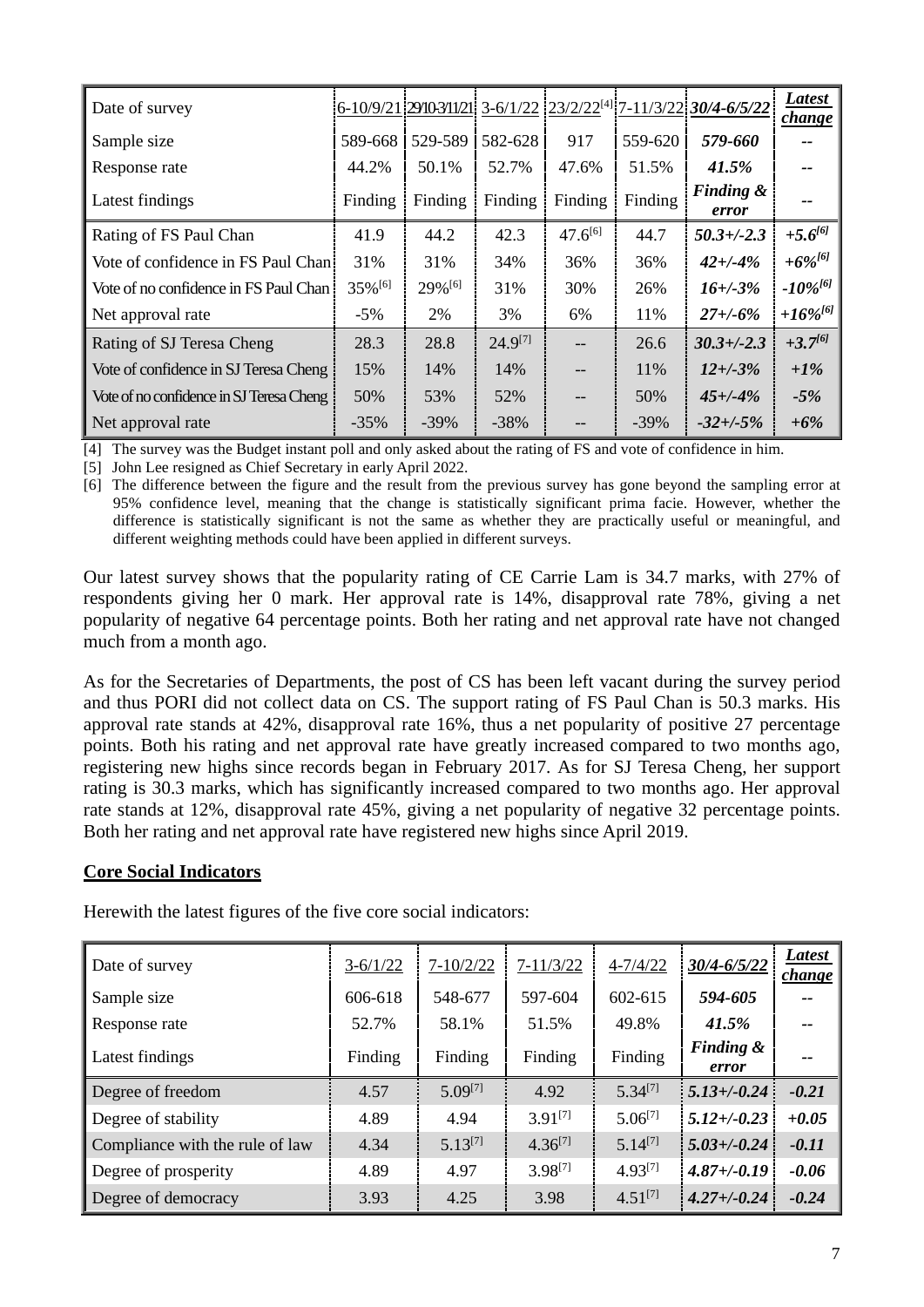| Date of survey                           |         |         |              |              |         | <u> 6-10/9/21 29/103/11/21  3-6/1/22  23/2/22<sup>[4]</sup> 7-11/3/22  <mark>3</mark></u> 0/4-6/5/22 | <b>Latest</b><br><i>change</i> |
|------------------------------------------|---------|---------|--------------|--------------|---------|------------------------------------------------------------------------------------------------------|--------------------------------|
| Sample size                              | 589-668 | 529-589 | 582-628      | 917          | 559-620 | 579-660                                                                                              |                                |
| Response rate                            | 44.2%   | 50.1%   | 52.7%        | 47.6%        | 51.5%   | 41.5%                                                                                                | --                             |
| Latest findings                          | Finding | Finding | Finding      | Finding      | Finding | <b>Finding &amp;</b><br>error                                                                        | $\overline{\phantom{a}}$       |
| Rating of FS Paul Chan                   | 41.9    | 44.2    | 42.3         | $47.6^{[6]}$ | 44.7    | $50.3 + (-2.3)$                                                                                      | $+5.6^{[6]}$                   |
| Vote of confidence in FS Paul Chan       | 31%     | 31%     | 34%          | 36%          | 36%     | $42 + (-4%)$                                                                                         | $+6\%^{[6]}$                   |
| Vote of no confidence in FS Paul Chan    | 35%[6]  | 29%[6]  | 31%          | 30%          | 26%     | $16 + (-3%)$                                                                                         | $-10\%^{[6]}$                  |
| Net approval rate                        | $-5%$   | 2%      | 3%           | 6%           | 11%     | $27 + (-6%)$                                                                                         | $+16\%^{[6]}$                  |
| Rating of SJ Teresa Cheng                | 28.3    | 28.8    | $24.9^{[7]}$ |              | 26.6    | $30.3 + (-2.3)$                                                                                      | $+3.7^{[6]}$                   |
| Vote of confidence in SJ Teresa Cheng    | 15%     | 14%     | 14%          | $-$          | 11%     | $12 + (-3%)$                                                                                         | $+1\%$                         |
| Vote of no confidence in SJ Teresa Cheng | 50%     | 53%     | 52%          |              | 50%     | $45 + (-4%)$                                                                                         | $-5%$                          |
| Net approval rate                        | $-35\%$ | $-39\%$ | $-38%$       |              | $-39\%$ | $-32 + (-5\%$                                                                                        | $+6%$                          |

[4] The survey was the Budget instant poll and only asked about the rating of FS and vote of confidence in him.

[5] John Lee resigned as Chief Secretary in early April 2022.

[6] The difference between the figure and the result from the previous survey has gone beyond the sampling error at 95% confidence level, meaning that the change is statistically significant prima facie. However, whether the difference is statistically significant is not the same as whether they are practically useful or meaningful, and different weighting methods could have been applied in different surveys.

Our latest survey shows that the popularity rating of CE Carrie Lam is 34.7 marks, with 27% of respondents giving her 0 mark. Her approval rate is 14%, disapproval rate 78%, giving a net popularity of negative 64 percentage points. Both her rating and net approval rate have not changed much from a month ago.

As for the Secretaries of Departments, the post of CS has been left vacant during the survey period and thus PORI did not collect data on CS. The support rating of FS Paul Chan is 50.3 marks. His approval rate stands at 42%, disapproval rate 16%, thus a net popularity of positive 27 percentage points. Both his rating and net approval rate have greatly increased compared to two months ago, registering new highs since records began in February 2017. As for SJ Teresa Cheng, her support rating is 30.3 marks, which has significantly increased compared to two months ago. Her approval rate stands at 12%, disapproval rate 45%, giving a net popularity of negative 32 percentage points. Both her rating and net approval rate have registered new highs since April 2019.

### **Core Social Indicators**

Herewith the latest figures of the five core social indicators:

| Date of survey                  | $3-6/1/22$ | $7 - 10/2/22$ | $7 - 11/3/22$ | $4 - 7/4/22$ | 30/4-6/5/22                   | <b>Latest</b><br>change |
|---------------------------------|------------|---------------|---------------|--------------|-------------------------------|-------------------------|
| Sample size                     | 606-618    | 548-677       | 597-604       | 602-615      | 594-605                       | --                      |
| Response rate                   | 52.7%      | 58.1%         | 51.5%         | 49.8%        | 41.5%                         | --                      |
| Latest findings                 | Finding    | Finding       | Finding       | Finding      | <b>Finding &amp;</b><br>error | --                      |
| Degree of freedom               | 4.57       | $5.09^{[7]}$  | 4.92          | $5.34^{[7]}$ | $5.13 + (-0.24)$              | $-0.21$                 |
| Degree of stability             | 4.89       | 4.94          | $3.91^{[7]}$  | $5.06^{[7]}$ | $5.12 + (-0.23)$              | $+0.05$                 |
| Compliance with the rule of law | 4.34       | $5.13^{[7]}$  | $4.36^{[7]}$  | $5.14^{[7]}$ | $5.03 + (-0.24)$              | $-0.11$                 |
| Degree of prosperity            | 4.89       | 4.97          | $3.98^{[7]}$  | $4.93^{[7]}$ | $4.87 + (-0.19)$              | $-0.06$                 |
| Degree of democracy             | 3.93       | 4.25          | 3.98          | $4.51^{[7]}$ | $4.27 + (-0.24)$              | $-0.24$                 |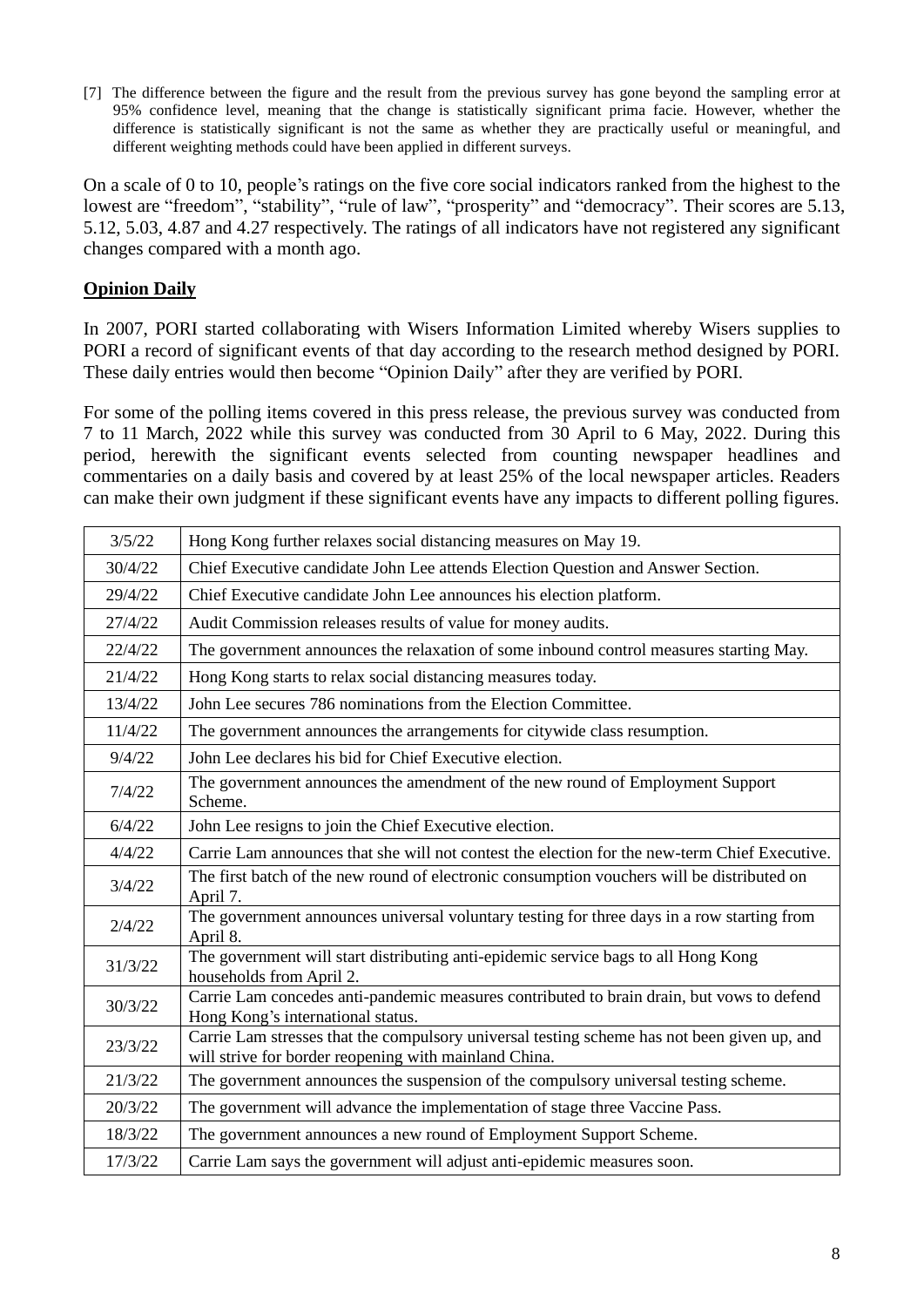[7] The difference between the figure and the result from the previous survey has gone beyond the sampling error at 95% confidence level, meaning that the change is statistically significant prima facie. However, whether the difference is statistically significant is not the same as whether they are practically useful or meaningful, and different weighting methods could have been applied in different surveys.

On a scale of 0 to 10, people's ratings on the five core social indicators ranked from the highest to the lowest are "freedom", "stability", "rule of law", "prosperity" and "democracy". Their scores are 5.13, 5.12, 5.03, 4.87 and 4.27 respectively. The ratings of all indicators have not registered any significant changes compared with a month ago.

## **Opinion Daily**

In 2007, PORI started collaborating with Wisers Information Limited whereby Wisers supplies to PORI a record of significant events of that day according to the research method designed by PORI. These daily entries would then become "Opinion Daily" after they are verified by PORI.

For some of the polling items covered in this press release, the previous survey was conducted from 7 to 11 March, 2022 while this survey was conducted from 30 April to 6 May, 2022. During this period, herewith the significant events selected from counting newspaper headlines and commentaries on a daily basis and covered by at least 25% of the local newspaper articles. Readers can make their own judgment if these significant events have any impacts to different polling figures.

| 3/5/22  | Hong Kong further relaxes social distancing measures on May 19.                                                                                      |
|---------|------------------------------------------------------------------------------------------------------------------------------------------------------|
| 30/4/22 | Chief Executive candidate John Lee attends Election Question and Answer Section.                                                                     |
| 29/4/22 | Chief Executive candidate John Lee announces his election platform.                                                                                  |
| 27/4/22 | Audit Commission releases results of value for money audits.                                                                                         |
| 22/4/22 | The government announces the relaxation of some inbound control measures starting May.                                                               |
| 21/4/22 | Hong Kong starts to relax social distancing measures today.                                                                                          |
| 13/4/22 | John Lee secures 786 nominations from the Election Committee.                                                                                        |
| 11/4/22 | The government announces the arrangements for citywide class resumption.                                                                             |
| 9/4/22  | John Lee declares his bid for Chief Executive election.                                                                                              |
| 7/4/22  | The government announces the amendment of the new round of Employment Support<br>Scheme.                                                             |
| 6/4/22  | John Lee resigns to join the Chief Executive election.                                                                                               |
| 4/4/22  | Carrie Lam announces that she will not contest the election for the new-term Chief Executive.                                                        |
| 3/4/22  | The first batch of the new round of electronic consumption vouchers will be distributed on<br>April 7.                                               |
| 2/4/22  | The government announces universal voluntary testing for three days in a row starting from<br>April 8.                                               |
| 31/3/22 | The government will start distributing anti-epidemic service bags to all Hong Kong<br>households from April 2.                                       |
| 30/3/22 | Carrie Lam concedes anti-pandemic measures contributed to brain drain, but vows to defend<br>Hong Kong's international status.                       |
| 23/3/22 | Carrie Lam stresses that the compulsory universal testing scheme has not been given up, and<br>will strive for border reopening with mainland China. |
| 21/3/22 | The government announces the suspension of the compulsory universal testing scheme.                                                                  |
| 20/3/22 | The government will advance the implementation of stage three Vaccine Pass.                                                                          |
| 18/3/22 | The government announces a new round of Employment Support Scheme.                                                                                   |
| 17/3/22 | Carrie Lam says the government will adjust anti-epidemic measures soon.                                                                              |